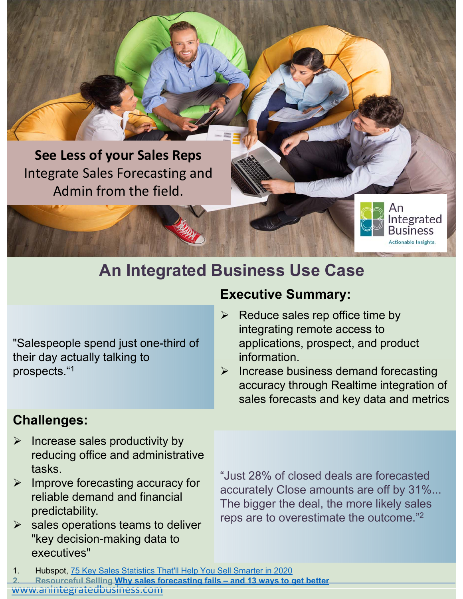

## **An Integrated Business Use Case**

"Salespeople spend just one-third of their day actually talking to prospects."1

#### **Challenges:**

- $\triangleright$  Increase sales productivity by reducing office and administrative tasks.
- $\triangleright$  Improve forecasting accuracy for reliable demand and financial predictability.
- $\triangleright$  sales operations teams to deliver "key decision-making data to executives"

"Just 28% of closed deals are forecasted accurately Close amounts are off by 31%... The bigger the deal, the more likely sales reps are to overestimate the outcome."2

- 1. Hubspot, 75 Key Sales Statistics That'll Help You Sell Smarter in 2020
- **2. Resourceful Selling Why sales forecasting fails and 13 ways to get better**

www.anintegratedbusiness.com

### **Executive Summary:**

- Reduce sales rep office time by integrating remote access to applications, prospect, and product information.
- $\triangleright$  Increase business demand forecasting accuracy through Realtime integration of sales forecasts and key data and metrics

١n

Integrated Business Actionable Insights.